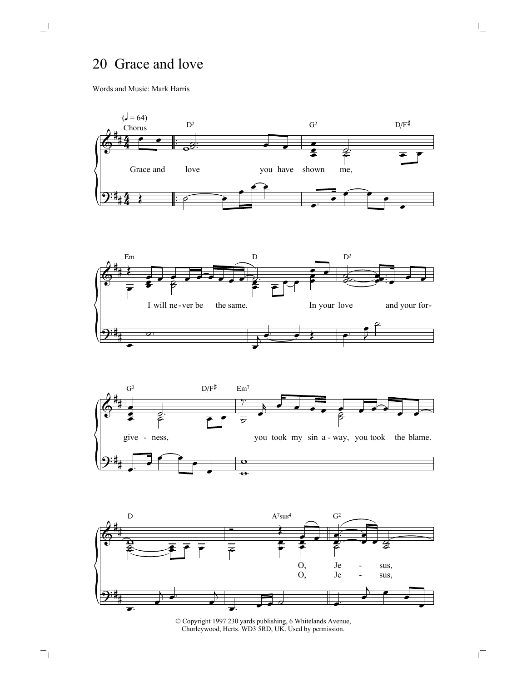## 20 Grace and love

Words and Music: Mark Harris

 $\Box^{\dagger}$ 

 $\overline{\phantom{a}}_1$ 









© Copyright 1997 230 yards publishing, 6 Whitelands Avenue, Chorleywood, Herts. WD3 5RD, UK. Used by permission.

 $\mathsf{I}_-$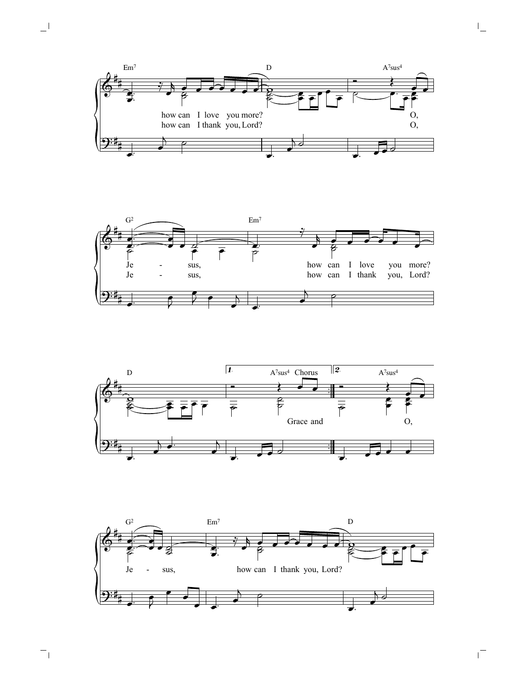

 $\mathbf{L}^{\parallel}$ 

 $\mathord{\hspace{1pt}\text{--}\hspace{1pt}}_\mathbb{I}$ 







 $\overline{\mathbb{L}}$